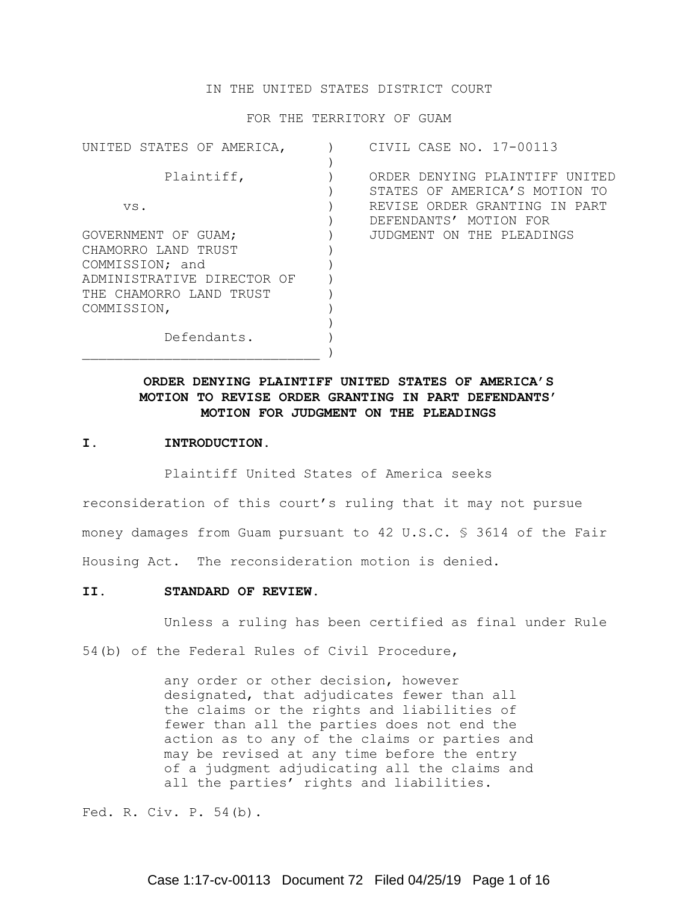# IN THE UNITED STATES DISTRICT COURT

FOR THE TERRITORY OF GUAM

| CIVIL CASE NO. 17-00113        |
|--------------------------------|
|                                |
| ORDER DENYING PLAINTIFF UNITED |
| STATES OF AMERICA'S MOTION TO  |
| REVISE ORDER GRANTING IN PART  |
| DEFENDANTS' MOTION FOR         |
| JUDGMENT ON THE PLEADINGS      |
|                                |
|                                |
|                                |
|                                |
|                                |
|                                |
|                                |
|                                |
|                                |

# **ORDER DENYING PLAINTIFF UNITED STATES OF AMERICA'S MOTION TO REVISE ORDER GRANTING IN PART DEFENDANTS' MOTION FOR JUDGMENT ON THE PLEADINGS**

#### **I. INTRODUCTION.**

Plaintiff United States of America seeks

reconsideration of this court's ruling that it may not pursue money damages from Guam pursuant to 42 U.S.C. § 3614 of the Fair Housing Act. The reconsideration motion is denied.

# **II. STANDARD OF REVIEW.**

Unless a ruling has been certified as final under Rule

54(b) of the Federal Rules of Civil Procedure,

any order or other decision, however designated, that adjudicates fewer than all the claims or the rights and liabilities of fewer than all the parties does not end the action as to any of the claims or parties and may be revised at any time before the entry of a judgment adjudicating all the claims and all the parties' rights and liabilities.

Fed. R. Civ. P. 54(b).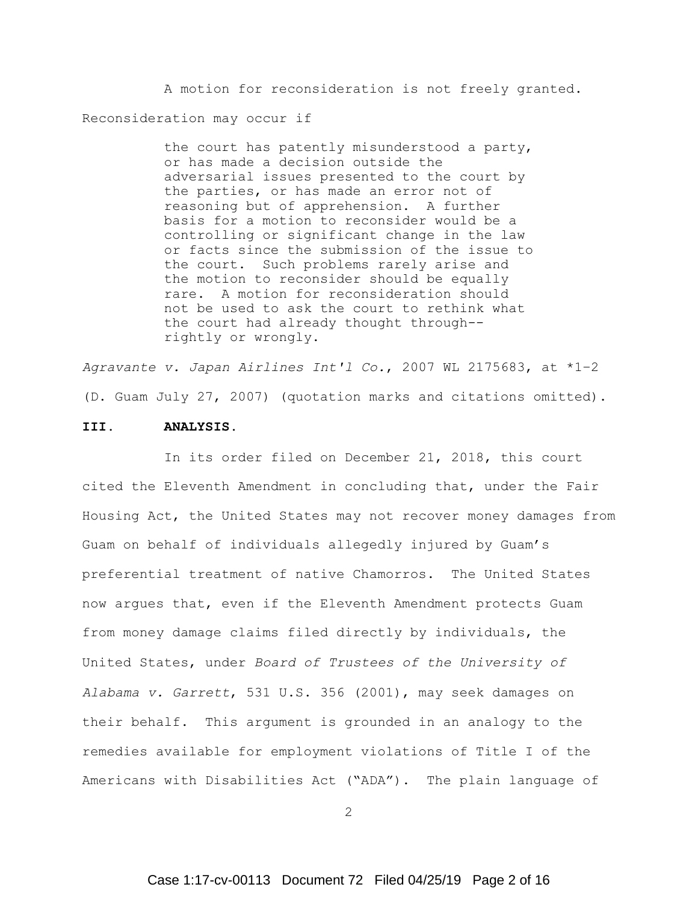A motion for reconsideration is not freely granted. Reconsideration may occur if

> the court has patently misunderstood a party, or has made a decision outside the adversarial issues presented to the court by the parties, or has made an error not of reasoning but of apprehension. A further basis for a motion to reconsider would be a controlling or significant change in the law or facts since the submission of the issue to the court. Such problems rarely arise and the motion to reconsider should be equally rare. A motion for reconsideration should not be used to ask the court to rethink what the court had already thought through- rightly or wrongly.

*Agravante v. Japan Airlines Int'l Co.*, 2007 WL 2175683, at \*1–2 (D. Guam July 27, 2007) (quotation marks and citations omitted).

#### **III. ANALYSIS.**

In its order filed on December 21, 2018, this court cited the Eleventh Amendment in concluding that, under the Fair Housing Act, the United States may not recover money damages from Guam on behalf of individuals allegedly injured by Guam's preferential treatment of native Chamorros. The United States now argues that, even if the Eleventh Amendment protects Guam from money damage claims filed directly by individuals, the United States, under *Board of Trustees of the University of Alabama v. Garrett*, 531 U.S. 356 (2001), may seek damages on their behalf. This argument is grounded in an analogy to the remedies available for employment violations of Title I of the Americans with Disabilities Act ("ADA"). The plain language of

2

# Case 1:17-cv-00113 Document 72 Filed 04/25/19 Page 2 of 16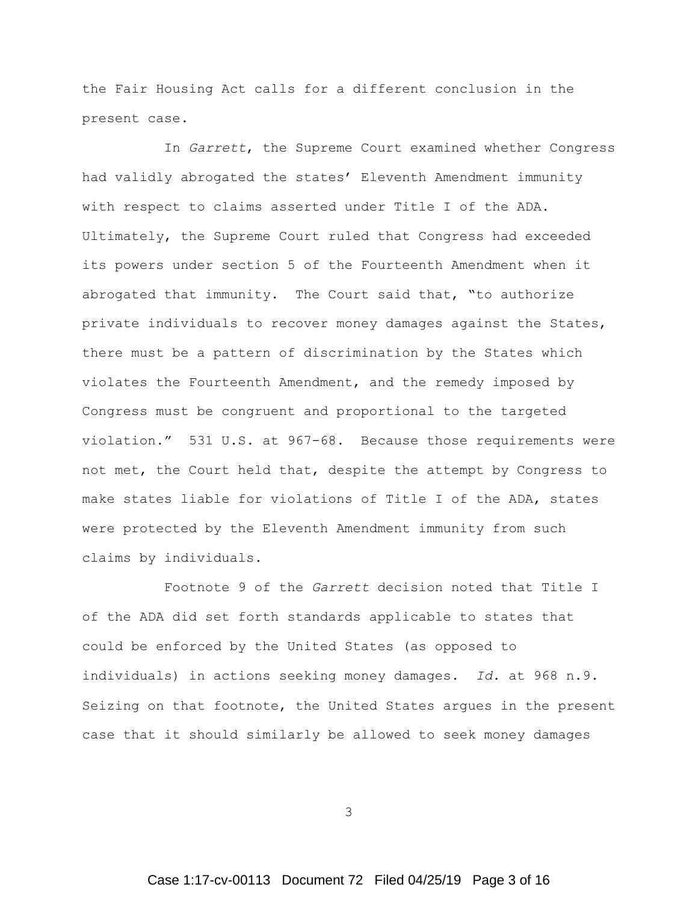the Fair Housing Act calls for a different conclusion in the present case.

In *Garrett*, the Supreme Court examined whether Congress had validly abrogated the states' Eleventh Amendment immunity with respect to claims asserted under Title I of the ADA. Ultimately, the Supreme Court ruled that Congress had exceeded its powers under section 5 of the Fourteenth Amendment when it abrogated that immunity. The Court said that, "to authorize private individuals to recover money damages against the States, there must be a pattern of discrimination by the States which violates the Fourteenth Amendment, and the remedy imposed by Congress must be congruent and proportional to the targeted violation." 531 U.S. at 967-68. Because those requirements were not met, the Court held that, despite the attempt by Congress to make states liable for violations of Title I of the ADA, states were protected by the Eleventh Amendment immunity from such claims by individuals.

Footnote 9 of the *Garrett* decision noted that Title I of the ADA did set forth standards applicable to states that could be enforced by the United States (as opposed to individuals) in actions seeking money damages. *Id.* at 968 n.9. Seizing on that footnote, the United States argues in the present case that it should similarly be allowed to seek money damages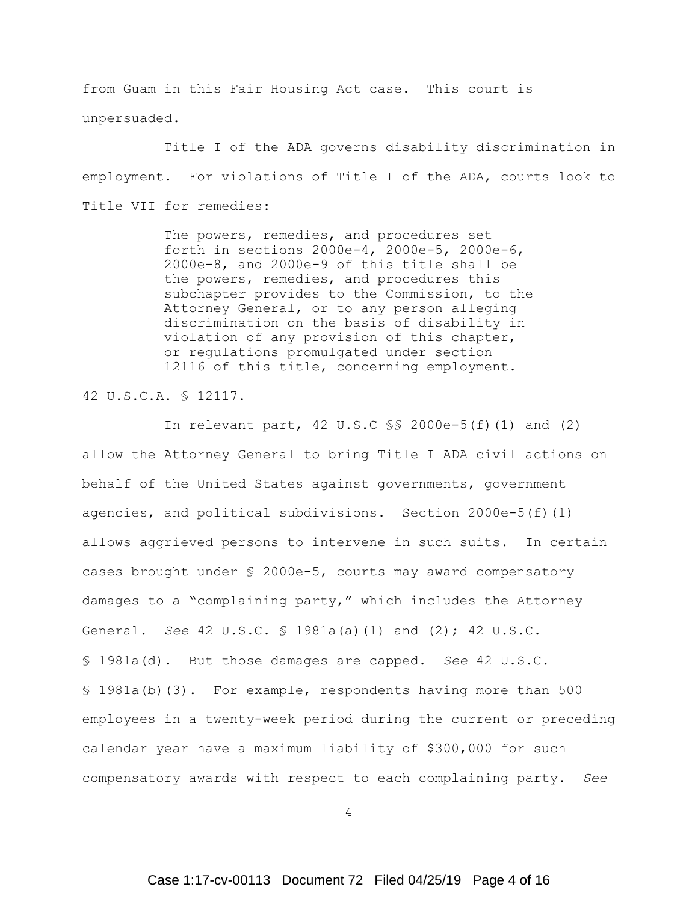from Guam in this Fair Housing Act case. This court is unpersuaded.

Title I of the ADA governs disability discrimination in employment. For violations of Title I of the ADA, courts look to Title VII for remedies:

> The powers, remedies, and procedures set forth in sections 2000e-4, 2000e-5, 2000e-6, 2000e-8, and 2000e-9 of this title shall be the powers, remedies, and procedures this subchapter provides to the Commission, to the Attorney General, or to any person alleging discrimination on the basis of disability in violation of any provision of this chapter, or regulations promulgated under section 12116 of this title, concerning employment.

42 U.S.C.A. § 12117.

In relevant part, 42 U.S.C §§ 2000e-5(f)(1) and (2) allow the Attorney General to bring Title I ADA civil actions on behalf of the United States against governments, government agencies, and political subdivisions. Section  $2000e-5(f)(1)$ allows aggrieved persons to intervene in such suits. In certain cases brought under § 2000e-5, courts may award compensatory damages to a "complaining party," which includes the Attorney General. *See* 42 U.S.C. § 1981a(a)(1) and (2); 42 U.S.C. § 1981a(d). But those damages are capped. *See* 42 U.S.C. § 1981a(b)(3). For example, respondents having more than 500 employees in a twenty-week period during the current or preceding calendar year have a maximum liability of \$300,000 for such compensatory awards with respect to each complaining party. *See*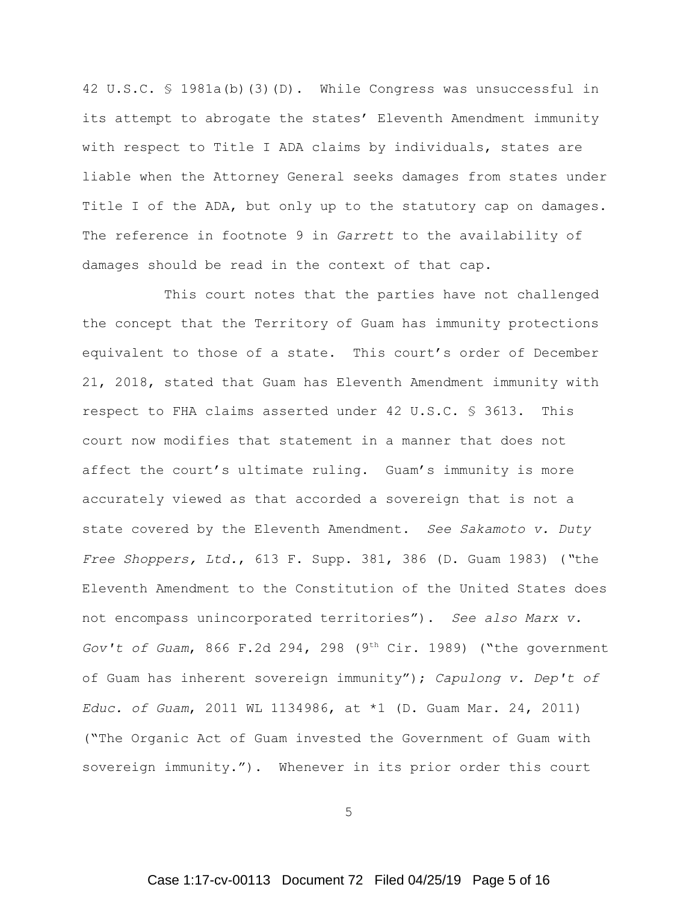42 U.S.C. § 1981a(b)(3)(D). While Congress was unsuccessful in its attempt to abrogate the states' Eleventh Amendment immunity with respect to Title I ADA claims by individuals, states are liable when the Attorney General seeks damages from states under Title I of the ADA, but only up to the statutory cap on damages. The reference in footnote 9 in *Garrett* to the availability of damages should be read in the context of that cap.

This court notes that the parties have not challenged the concept that the Territory of Guam has immunity protections equivalent to those of a state. This court's order of December 21, 2018, stated that Guam has Eleventh Amendment immunity with respect to FHA claims asserted under 42 U.S.C. § 3613. This court now modifies that statement in a manner that does not affect the court's ultimate ruling. Guam's immunity is more accurately viewed as that accorded a sovereign that is not a state covered by the Eleventh Amendment. *See Sakamoto v. Duty Free Shoppers, Ltd.*, 613 F. Supp. 381, 386 (D. Guam 1983) (*"*the Eleventh Amendment to the Constitution of the United States does not encompass unincorporated territories"). *See also Marx v. Gov't of Guam*, 866 F.2d 294, 298 (9<sup>th</sup> Cir. 1989) ("the government of Guam has inherent sovereign immunity"); *Capulong v. Dep't of Educ. of Guam*, 2011 WL 1134986, at \*1 (D. Guam Mar. 24, 2011) ("The Organic Act of Guam invested the Government of Guam with sovereign immunity."). Whenever in its prior order this court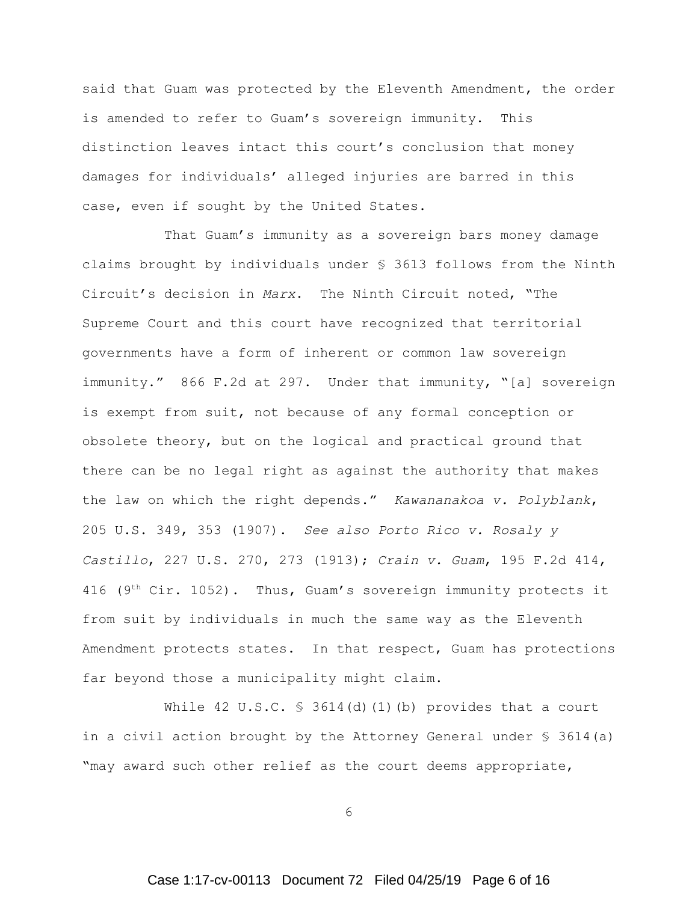said that Guam was protected by the Eleventh Amendment, the order is amended to refer to Guam's sovereign immunity. This distinction leaves intact this court's conclusion that money damages for individuals' alleged injuries are barred in this case, even if sought by the United States.

That Guam's immunity as a sovereign bars money damage claims brought by individuals under § 3613 follows from the Ninth Circuit's decision in *Marx*. The Ninth Circuit noted, "The Supreme Court and this court have recognized that territorial governments have a form of inherent or common law sovereign immunity." 866 F.2d at 297. Under that immunity, "[a] sovereign is exempt from suit, not because of any formal conception or obsolete theory, but on the logical and practical ground that there can be no legal right as against the authority that makes the law on which the right depends." *Kawananakoa v. Polyblank*, 205 U.S. 349, 353 (1907). *See also Porto Rico v. Rosaly y Castillo*, 227 U.S. 270, 273 (1913); *Crain v. Guam*, 195 F.2d 414, 416 ( $9<sup>th</sup> Cir. 1052$ ). Thus, Guam's sovereign immunity protects it from suit by individuals in much the same way as the Eleventh Amendment protects states. In that respect, Guam has protections far beyond those a municipality might claim.

While 42 U.S.C.  $\frac{1}{5}$  3614(d)(1)(b) provides that a court in a civil action brought by the Attorney General under  $\S$  3614(a) "may award such other relief as the court deems appropriate,

6

# Case 1:17-cv-00113 Document 72 Filed 04/25/19 Page 6 of 16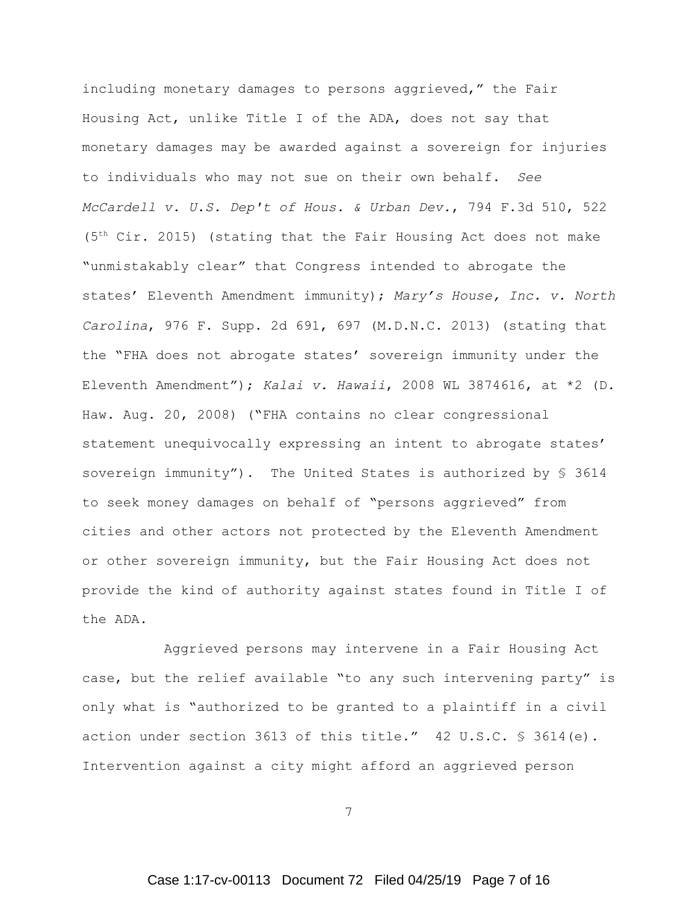including monetary damages to persons aggrieved," the Fair Housing Act, unlike Title I of the ADA, does not say that monetary damages may be awarded against a sovereign for injuries to individuals who may not sue on their own behalf. *See McCardell v. U.S. Dep't of Hous. & Urban Dev.*, 794 F.3d 510, 522  $(5<sup>th</sup> Cir. 2015)$  (stating that the Fair Housing Act does not make "unmistakably clear" that Congress intended to abrogate the states' Eleventh Amendment immunity); *Mary's House, Inc. v. North Carolina*, 976 F. Supp. 2d 691, 697 (M.D.N.C. 2013) (stating that the "FHA does not abrogate states' sovereign immunity under the Eleventh Amendment"); *Kalai v. Hawaii*, 2008 WL 3874616, at \*2 (D. Haw. Aug. 20, 2008) ("FHA contains no clear congressional statement unequivocally expressing an intent to abrogate states' sovereign immunity"). The United States is authorized by  $\S$  3614 to seek money damages on behalf of "persons aggrieved" from cities and other actors not protected by the Eleventh Amendment or other sovereign immunity, but the Fair Housing Act does not provide the kind of authority against states found in Title I of the ADA.

Aggrieved persons may intervene in a Fair Housing Act case, but the relief available "to any such intervening party" is only what is "authorized to be granted to a plaintiff in a civil action under section 3613 of this title." 42 U.S.C. § 3614(e). Intervention against a city might afford an aggrieved person

7

# Case 1:17-cv-00113 Document 72 Filed 04/25/19 Page 7 of 16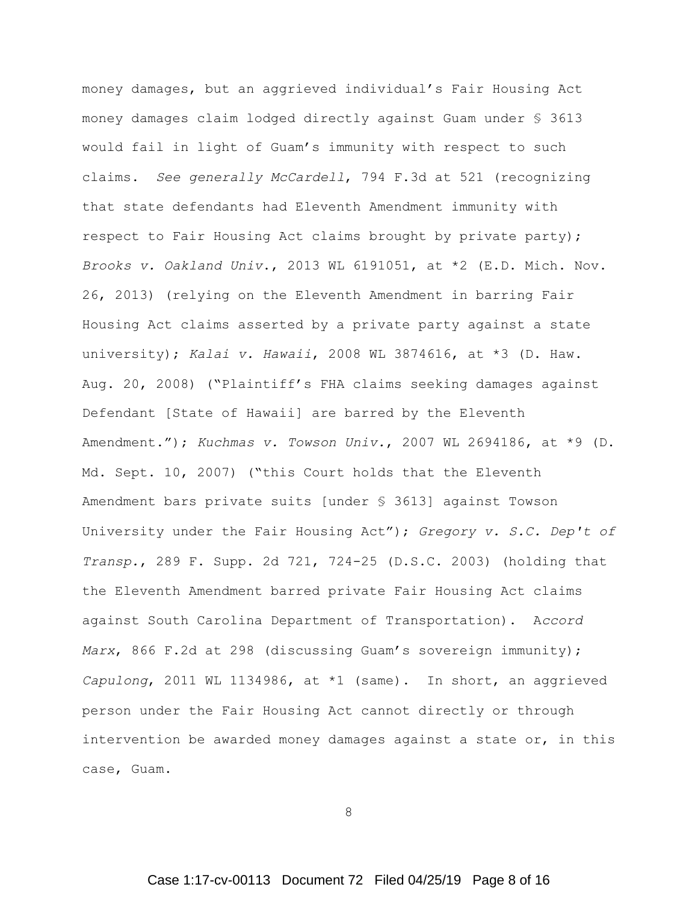money damages, but an aggrieved individual's Fair Housing Act money damages claim lodged directly against Guam under § 3613 would fail in light of Guam's immunity with respect to such claims. *See generally McCardell*, 794 F.3d at 521 (recognizing that state defendants had Eleventh Amendment immunity with respect to Fair Housing Act claims brought by private party); *Brooks v. Oakland Univ*., 2013 WL 6191051, at \*2 (E.D. Mich. Nov. 26, 2013) (relying on the Eleventh Amendment in barring Fair Housing Act claims asserted by a private party against a state university); *Kalai v. Hawaii*, 2008 WL 3874616, at \*3 (D. Haw. Aug. 20, 2008) ("Plaintiff's FHA claims seeking damages against Defendant [State of Hawaii] are barred by the Eleventh Amendment."); *Kuchmas v. Towson Univ.*, 2007 WL 2694186, at \*9 (D. Md. Sept. 10, 2007) ("this Court holds that the Eleventh Amendment bars private suits [under § 3613] against Towson University under the Fair Housing Act"); *Gregory v. S.C. Dep't of Transp.*, 289 F. Supp. 2d 721, 724-25 (D.S.C. 2003) (holding that the Eleventh Amendment barred private Fair Housing Act claims against South Carolina Department of Transportation). A*ccord Marx*, 866 F.2d at 298 (discussing Guam's sovereign immunity); *Capulong*, 2011 WL 1134986, at \*1 (same). In short, an aggrieved person under the Fair Housing Act cannot directly or through intervention be awarded money damages against a state or, in this case, Guam.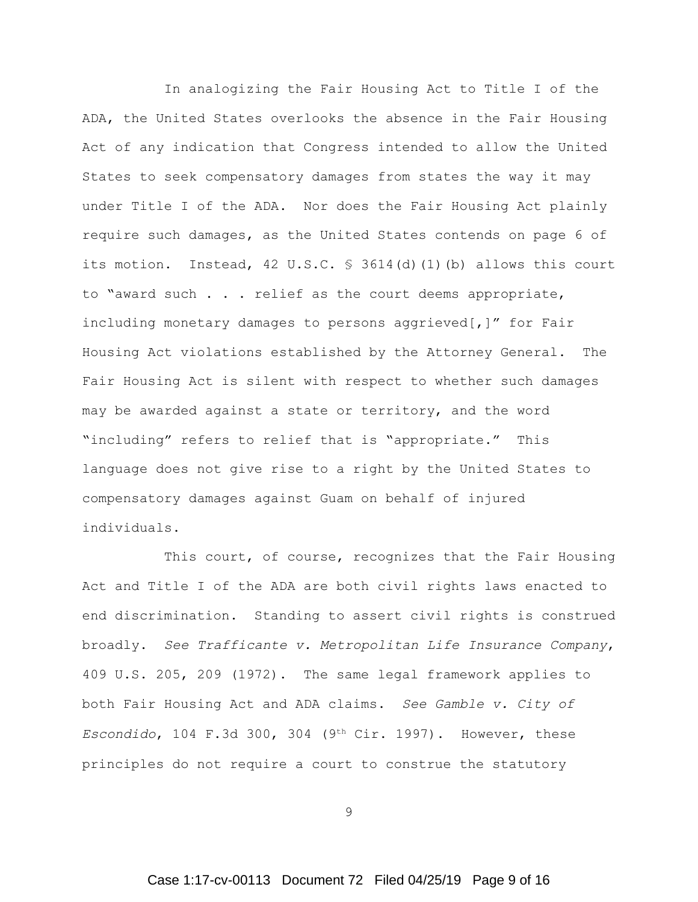In analogizing the Fair Housing Act to Title I of the ADA, the United States overlooks the absence in the Fair Housing Act of any indication that Congress intended to allow the United States to seek compensatory damages from states the way it may under Title I of the ADA. Nor does the Fair Housing Act plainly require such damages, as the United States contends on page 6 of its motion. Instead, 42 U.S.C. § 3614(d)(1)(b) allows this court to "award such . . . relief as the court deems appropriate, including monetary damages to persons aggrieved[,]" for Fair Housing Act violations established by the Attorney General. The Fair Housing Act is silent with respect to whether such damages may be awarded against a state or territory, and the word "including" refers to relief that is "appropriate." This language does not give rise to a right by the United States to compensatory damages against Guam on behalf of injured individuals.

This court, of course, recognizes that the Fair Housing Act and Title I of the ADA are both civil rights laws enacted to end discrimination. Standing to assert civil rights is construed broadly. *See Trafficante v. Metropolitan Life Insurance Company*, 409 U.S. 205, 209 (1972). The same legal framework applies to both Fair Housing Act and ADA claims. *See Gamble v. City of Escondido*, 104 F.3d 300, 304 (9<sup>th</sup> Cir. 1997). However, these principles do not require a court to construe the statutory

9

# Case 1:17-cv-00113 Document 72 Filed 04/25/19 Page 9 of 16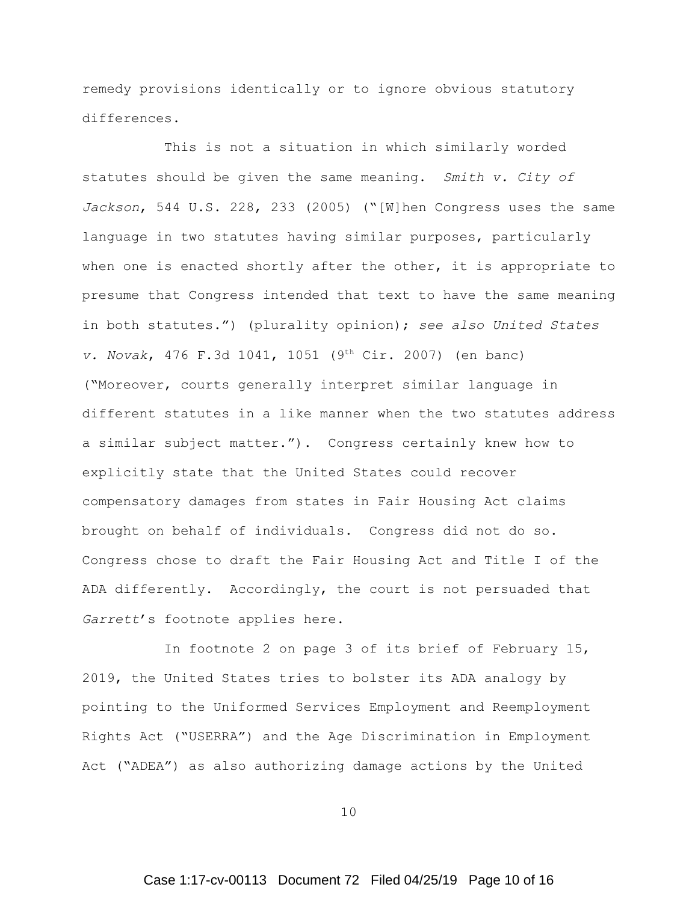remedy provisions identically or to ignore obvious statutory differences.

This is not a situation in which similarly worded statutes should be given the same meaning. *Smith v. City of Jackson*, 544 U.S. 228, 233 (2005) ("[W]hen Congress uses the same language in two statutes having similar purposes, particularly when one is enacted shortly after the other, it is appropriate to presume that Congress intended that text to have the same meaning in both statutes.") (plurality opinion); *see also United States v. Novak*, 476 F.3d 1041, 1051 (9<sup>th</sup> Cir. 2007) (en banc) ("Moreover, courts generally interpret similar language in different statutes in a like manner when the two statutes address a similar subject matter."). Congress certainly knew how to explicitly state that the United States could recover compensatory damages from states in Fair Housing Act claims brought on behalf of individuals. Congress did not do so. Congress chose to draft the Fair Housing Act and Title I of the ADA differently. Accordingly, the court is not persuaded that *Garrett*'s footnote applies here.

In footnote 2 on page 3 of its brief of February 15, 2019, the United States tries to bolster its ADA analogy by pointing to the Uniformed Services Employment and Reemployment Rights Act ("USERRA") and the Age Discrimination in Employment Act ("ADEA") as also authorizing damage actions by the United

10

# Case 1:17-cv-00113 Document 72 Filed 04/25/19 Page 10 of 16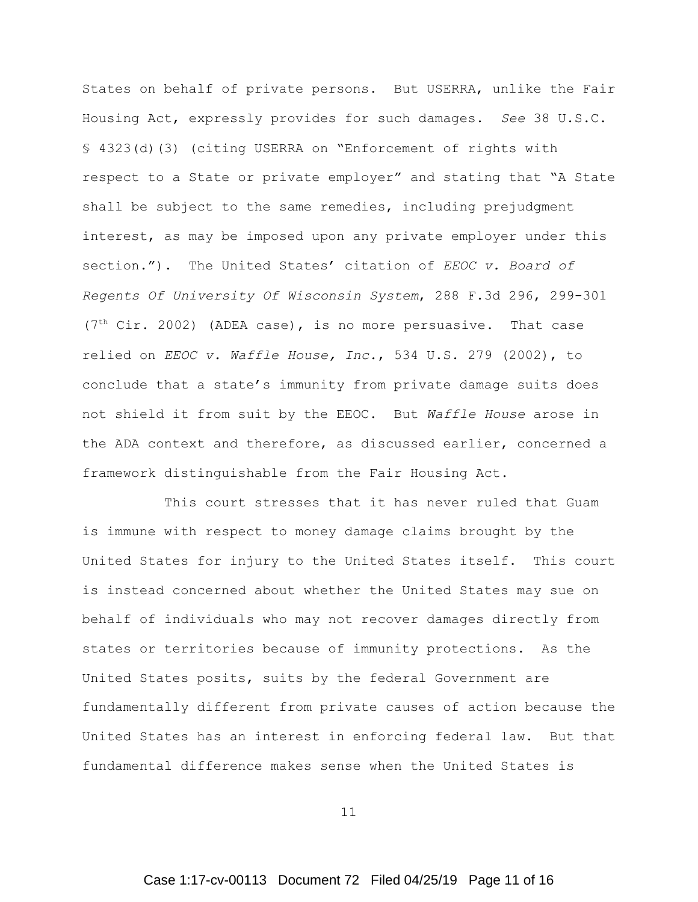States on behalf of private persons. But USERRA, unlike the Fair Housing Act, expressly provides for such damages. *See* 38 U.S.C. § 4323(d)(3) (citing USERRA on "Enforcement of rights with respect to a State or private employer" and stating that "A State shall be subject to the same remedies, including prejudgment interest, as may be imposed upon any private employer under this section."). The United States' citation of *EEOC v. Board of Regents Of University Of Wisconsin System*, 288 F.3d 296, 299-301 ( $7<sup>th</sup> Cir. 2002$ ) (ADEA case), is no more persuasive. That case relied on *EEOC v. Waffle House, Inc.*, 534 U.S. 279 (2002), to conclude that a state's immunity from private damage suits does not shield it from suit by the EEOC. But *Waffle House* arose in the ADA context and therefore, as discussed earlier, concerned a framework distinguishable from the Fair Housing Act.

This court stresses that it has never ruled that Guam is immune with respect to money damage claims brought by the United States for injury to the United States itself. This court is instead concerned about whether the United States may sue on behalf of individuals who may not recover damages directly from states or territories because of immunity protections. As the United States posits, suits by the federal Government are fundamentally different from private causes of action because the United States has an interest in enforcing federal law. But that fundamental difference makes sense when the United States is

11

# Case 1:17-cv-00113 Document 72 Filed 04/25/19 Page 11 of 16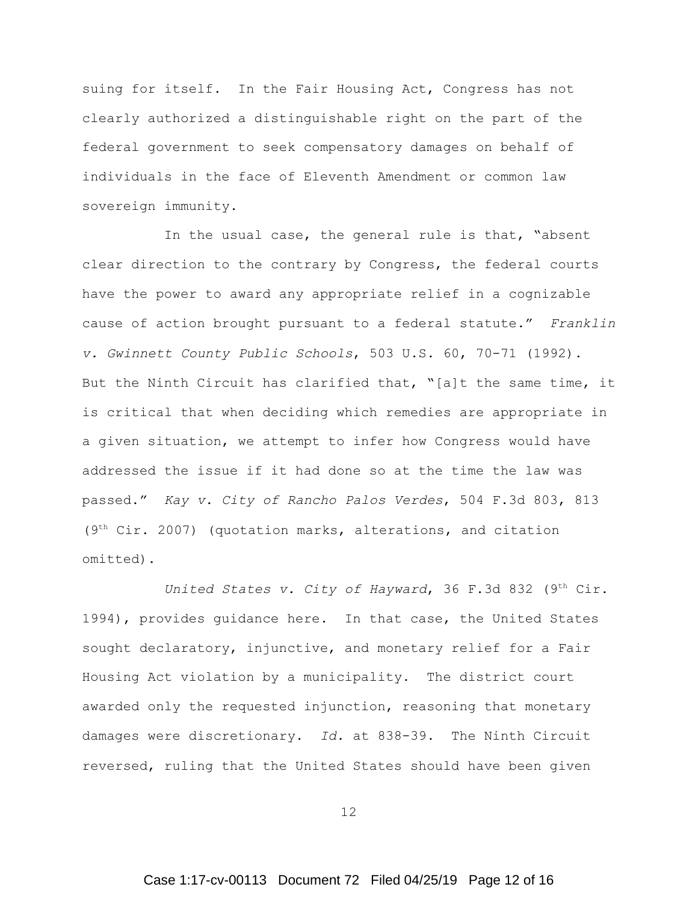suing for itself. In the Fair Housing Act, Congress has not clearly authorized a distinguishable right on the part of the federal government to seek compensatory damages on behalf of individuals in the face of Eleventh Amendment or common law sovereign immunity.

In the usual case, the general rule is that, "absent clear direction to the contrary by Congress, the federal courts have the power to award any appropriate relief in a cognizable cause of action brought pursuant to a federal statute." *Franklin v. Gwinnett County Public Schools*, 503 U.S. 60, 70-71 (1992). But the Ninth Circuit has clarified that, "[a]t the same time, it is critical that when deciding which remedies are appropriate in a given situation, we attempt to infer how Congress would have addressed the issue if it had done so at the time the law was passed." *Kay v. City of Rancho Palos Verdes*, 504 F.3d 803, 813  $(9<sup>th</sup> Cir. 2007)$  (quotation marks, alterations, and citation omitted).

*United States v. City of Hayward*, 36 F.3d 832 (9<sup>th</sup> Cir. 1994), provides quidance here. In that case, the United States sought declaratory, injunctive, and monetary relief for a Fair Housing Act violation by a municipality. The district court awarded only the requested injunction, reasoning that monetary damages were discretionary. *Id.* at 838-39. The Ninth Circuit reversed, ruling that the United States should have been given

12

# Case 1:17-cv-00113 Document 72 Filed 04/25/19 Page 12 of 16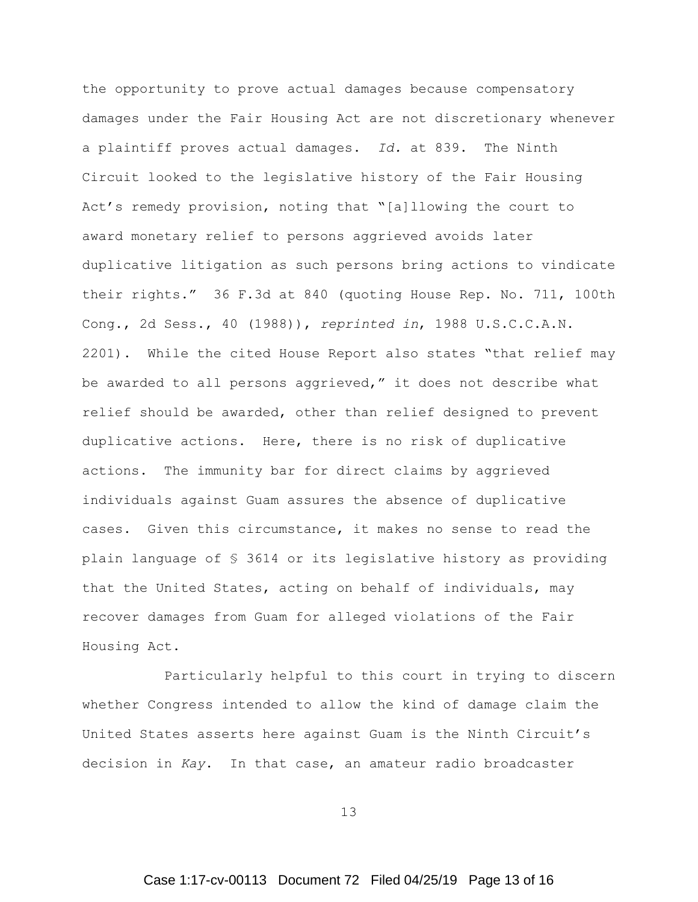the opportunity to prove actual damages because compensatory damages under the Fair Housing Act are not discretionary whenever a plaintiff proves actual damages. *Id.* at 839. The Ninth Circuit looked to the legislative history of the Fair Housing Act's remedy provision, noting that "[a]llowing the court to award monetary relief to persons aggrieved avoids later duplicative litigation as such persons bring actions to vindicate their rights." 36 F.3d at 840 (quoting House Rep. No. 711, 100th Cong., 2d Sess., 40 (1988)), *reprinted in*, 1988 U.S.C.C.A.N. 2201). While the cited House Report also states "that relief may be awarded to all persons aggrieved," it does not describe what relief should be awarded, other than relief designed to prevent duplicative actions. Here, there is no risk of duplicative actions. The immunity bar for direct claims by aggrieved individuals against Guam assures the absence of duplicative cases. Given this circumstance, it makes no sense to read the plain language of § 3614 or its legislative history as providing that the United States, acting on behalf of individuals, may recover damages from Guam for alleged violations of the Fair Housing Act.

Particularly helpful to this court in trying to discern whether Congress intended to allow the kind of damage claim the United States asserts here against Guam is the Ninth Circuit's decision in *Kay*. In that case, an amateur radio broadcaster

13

# Case 1:17-cv-00113 Document 72 Filed 04/25/19 Page 13 of 16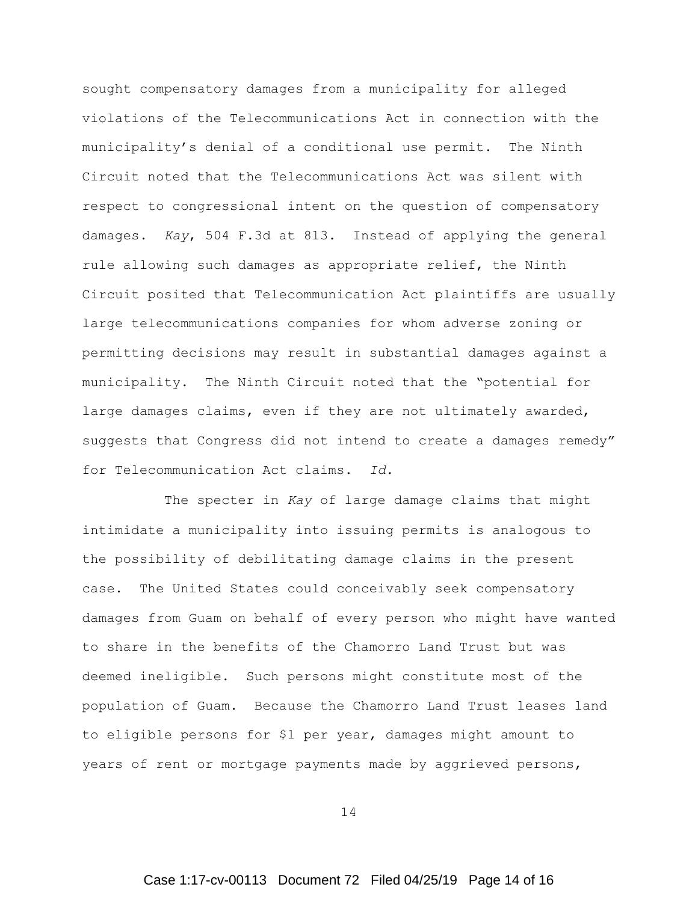sought compensatory damages from a municipality for alleged violations of the Telecommunications Act in connection with the municipality's denial of a conditional use permit. The Ninth Circuit noted that the Telecommunications Act was silent with respect to congressional intent on the question of compensatory damages. *Kay*, 504 F.3d at 813. Instead of applying the general rule allowing such damages as appropriate relief, the Ninth Circuit posited that Telecommunication Act plaintiffs are usually large telecommunications companies for whom adverse zoning or permitting decisions may result in substantial damages against a municipality. The Ninth Circuit noted that the "potential for large damages claims, even if they are not ultimately awarded, suggests that Congress did not intend to create a damages remedy" for Telecommunication Act claims. *Id.* 

The specter in *Kay* of large damage claims that might intimidate a municipality into issuing permits is analogous to the possibility of debilitating damage claims in the present case. The United States could conceivably seek compensatory damages from Guam on behalf of every person who might have wanted to share in the benefits of the Chamorro Land Trust but was deemed ineligible. Such persons might constitute most of the population of Guam. Because the Chamorro Land Trust leases land to eligible persons for \$1 per year, damages might amount to years of rent or mortgage payments made by aggrieved persons,

14

# Case 1:17-cv-00113 Document 72 Filed 04/25/19 Page 14 of 16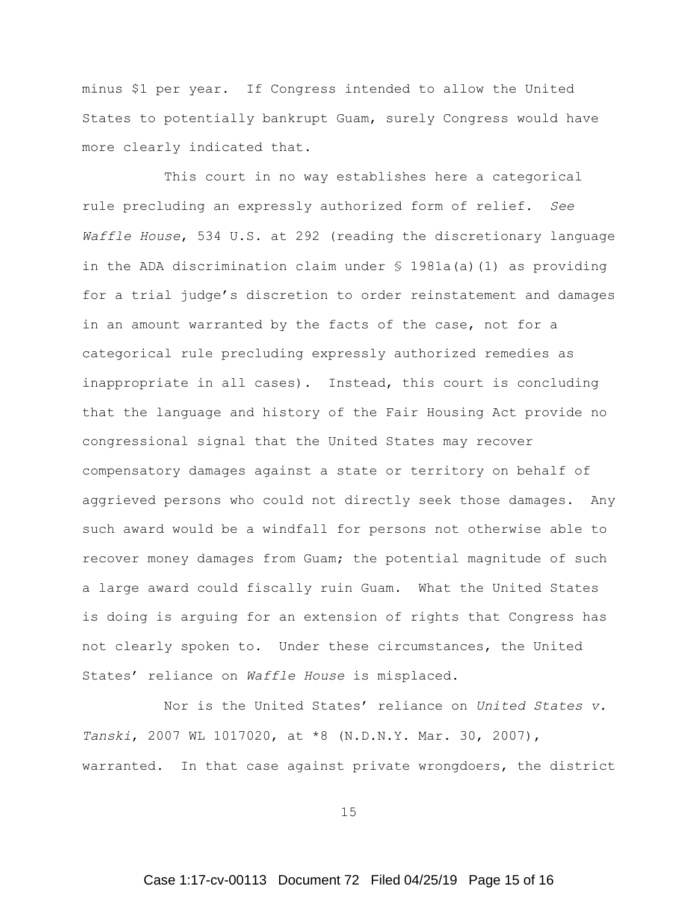minus \$1 per year. If Congress intended to allow the United States to potentially bankrupt Guam, surely Congress would have more clearly indicated that.

This court in no way establishes here a categorical rule precluding an expressly authorized form of relief. *See Waffle House*, 534 U.S. at 292 (reading the discretionary language in the ADA discrimination claim under § 1981a(a)(1) as providing for a trial judge's discretion to order reinstatement and damages in an amount warranted by the facts of the case, not for a categorical rule precluding expressly authorized remedies as inappropriate in all cases). Instead, this court is concluding that the language and history of the Fair Housing Act provide no congressional signal that the United States may recover compensatory damages against a state or territory on behalf of aggrieved persons who could not directly seek those damages. Any such award would be a windfall for persons not otherwise able to recover money damages from Guam; the potential magnitude of such a large award could fiscally ruin Guam. What the United States is doing is arguing for an extension of rights that Congress has not clearly spoken to. Under these circumstances, the United States' reliance on *Waffle House* is misplaced.

Nor is the United States' reliance on *United States v. Tanski*, 2007 WL 1017020, at \*8 (N.D.N.Y. Mar. 30, 2007), warranted. In that case against private wrongdoers, the district

15

# Case 1:17-cv-00113 Document 72 Filed 04/25/19 Page 15 of 16